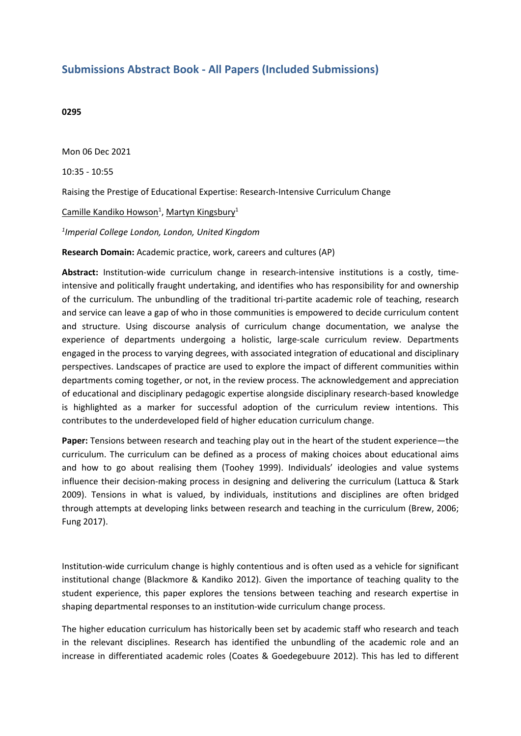## **Submissions Abstract Book - All Papers (Included Submissions)**

## **0295**

Mon 06 Dec 2021

10:35 - 10:55

Raising the Prestige of Educational Expertise: Research-Intensive Curriculum Change

Camille Kandiko Howson<sup>1</sup>, Martyn Kingsbury<sup>1</sup>

*1 Imperial College London, London, United Kingdom*

**Research Domain:** Academic practice, work, careers and cultures (AP)

**Abstract:** Institution-wide curriculum change in research-intensive institutions is <sup>a</sup> costly, timeintensive and politically fraught undertaking, and identifies who has responsibility for and ownership of the curriculum. The unbundling of the traditional tri-partite academic role of teaching, research and service can leave <sup>a</sup> gap of who in those communities is empowered to decide curriculum content and structure. Using discourse analysis of curriculum change documentation, we analyse the experience of departments undergoing <sup>a</sup> holistic, large-scale curriculum review. Departments engaged in the process to varying degrees, with associated integration of educational and disciplinary perspectives. Landscapes of practice are used to explore the impact of different communities within departments coming together, or not, in the review process. The acknowledgement and appreciation of educational and disciplinary pedagogic expertise alongside disciplinary research-based knowledge is highlighted as <sup>a</sup> marker for successful adoption of the curriculum review intentions. This contributes to the underdeveloped field of higher education curriculum change.

**Paper:** Tensions between research and teaching play out in the heart of the student experience—the curriculum. The curriculum can be defined as <sup>a</sup> process of making choices about educational aims and how to go about realising them (Toohey 1999). Individuals' ideologies and value systems influence their decision-making process in designing and delivering the curriculum (Lattuca & Stark 2009). Tensions in what is valued, by individuals, institutions and disciplines are often bridged through attempts at developing links between research and teaching in the curriculum (Brew, 2006; Fung 2017).

Institution-wide curriculum change is highly contentious and is often used as <sup>a</sup> vehicle for significant institutional change (Blackmore & Kandiko 2012). Given the importance of teaching quality to the student experience, this paper explores the tensions between teaching and research expertise in shaping departmental responses to an institution-wide curriculum change process.

The higher education curriculum has historically been set by academic staff who research and teach in the relevant disciplines. Research has identified the unbundling of the academic role and an increase in differentiated academic roles (Coates & Goedegebuure 2012). This has led to different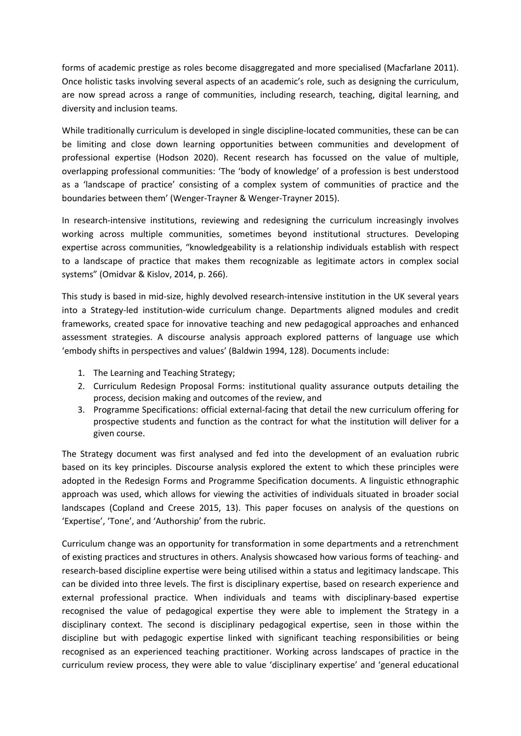forms of academic prestige as roles become disaggregated and more specialised (Macfarlane 2011). Once holistic tasks involving several aspects of an academic's role, such as designing the curriculum, are now spread across <sup>a</sup> range of communities, including research, teaching, digital learning, and diversity and inclusion teams.

While traditionally curriculum is developed in single discipline-located communities, these can be can be limiting and close down learning opportunities between communities and development of professional expertise (Hodson 2020). Recent research has focussed on the value of multiple, overlapping professional communities: 'The 'body of knowledge' of <sup>a</sup> profession is best understood as <sup>a</sup> 'landscape of practice' consisting of <sup>a</sup> complex system of communities of practice and the boundaries between them' (Wenger-Trayner & Wenger-Trayner 2015).

In research-intensive institutions, reviewing and redesigning the curriculum increasingly involves working across multiple communities, sometimes beyond institutional structures. Developing expertise across communities, "knowledgeability is <sup>a</sup> relationship individuals establish with respect to <sup>a</sup> landscape of practice that makes them recognizable as legitimate actors in complex social systems" (Omidvar & Kislov, 2014, p. 266).

This study is based in mid-size, highly devolved research-intensive institution in the UK several years into <sup>a</sup> Strategy-led institution-wide curriculum change. Departments aligned modules and credit frameworks, created space for innovative teaching and new pedagogical approaches and enhanced assessment strategies. A discourse analysis approach explored patterns of language use which 'embody shifts in perspectives and values' (Baldwin 1994, 128). Documents include:

- 1. The Learning and Teaching Strategy;
- 2. Curriculum Redesign Proposal Forms: institutional quality assurance outputs detailing the process, decision making and outcomes of the review, and
- 3. Programme Specifications: official external-facing that detail the new curriculum offering for prospective students and function as the contract for what the institution will deliver for <sup>a</sup> given course.

The Strategy document was first analysed and fed into the development of an evaluation rubric based on its key principles. Discourse analysis explored the extent to which these principles were adopted in the Redesign Forms and Programme Specification documents. A linguistic ethnographic approach was used, which allows for viewing the activities of individuals situated in broader social landscapes (Copland and Creese 2015, 13). This paper focuses on analysis of the questions on 'Expertise', 'Tone', and 'Authorship' from the rubric.

Curriculum change was an opportunity for transformation in some departments and <sup>a</sup> retrenchment of existing practices and structures in others. Analysis showcased how various forms of teaching- and research-based discipline expertise were being utilised within <sup>a</sup> status and legitimacy landscape. This can be divided into three levels. The first is disciplinary expertise, based on research experience and external professional practice. When individuals and teams with disciplinary-based expertise recognised the value of pedagogical expertise they were able to implement the Strategy in <sup>a</sup> disciplinary context. The second is disciplinary pedagogical expertise, seen in those within the discipline but with pedagogic expertise linked with significant teaching responsibilities or being recognised as an experienced teaching practitioner. Working across landscapes of practice in the curriculum review process, they were able to value 'disciplinary expertise' and 'general educational